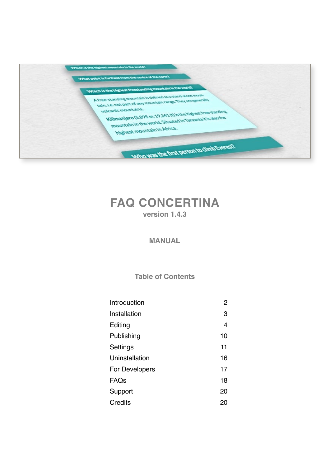

# **FAQ CONCERTINA version 1.4.3**

# **MANUAL**

**Table of Contents**

| Introduction     | 2  |
|------------------|----|
| Installation     | 3  |
| Editing          | 4  |
| Publishing       | 10 |
| Settings         | 11 |
| Uninstallation   | 16 |
| For Developers   | 17 |
| FAQ <sub>S</sub> | 18 |
| Support          | 20 |
| Credits          | 20 |
|                  |    |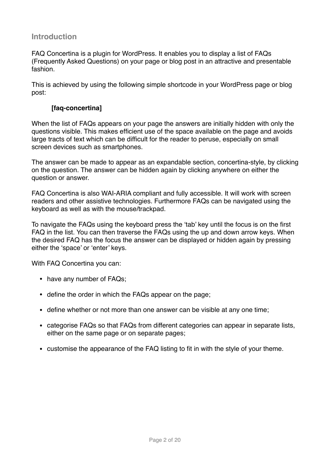# <span id="page-1-0"></span>**Introduction**

FAQ Concertina is a plugin for WordPress. It enables you to display a list of FAQs (Frequently Asked Questions) on your page or blog post in an attractive and presentable fashion.

This is achieved by using the following simple shortcode in your WordPress page or blog post:

# **[faq-concertina]**

When the list of FAQs appears on your page the answers are initially hidden with only the questions visible. This makes efficient use of the space available on the page and avoids large tracts of text which can be difficult for the reader to peruse, especially on small screen devices such as smartphones.

The answer can be made to appear as an expandable section, concertina-style, by clicking on the question. The answer can be hidden again by clicking anywhere on either the question or answer.

FAQ Concertina is also WAI-ARIA compliant and fully accessible. It will work with screen readers and other assistive technologies. Furthermore FAQs can be navigated using the keyboard as well as with the mouse/trackpad.

To navigate the FAQs using the keyboard press the 'tab' key until the focus is on the first FAQ in the list. You can then traverse the FAQs using the up and down arrow keys. When the desired FAQ has the focus the answer can be displayed or hidden again by pressing either the 'space' or 'enter' keys.

With FAQ Concertina you can:

- have any number of FAQs;
- define the order in which the FAQs appear on the page;
- define whether or not more than one answer can be visible at any one time;
- categorise FAQs so that FAQs from different categories can appear in separate lists, either on the same page or on separate pages;
- customise the appearance of the FAQ listing to fit in with the style of your theme.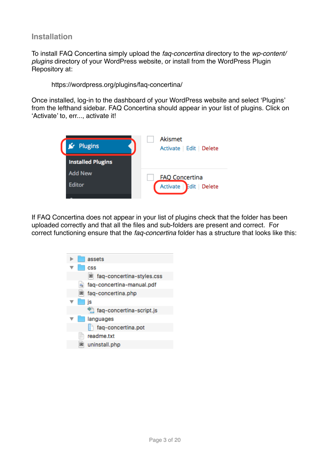# <span id="page-2-0"></span>**Installation**

To install FAQ Concertina simply upload the *faq-concertina* directory to the *wp-content/ plugins* directory of your WordPress website, or install from the WordPress Plugin Repository at:

https://wordpress.org/plugins/faq-concertina/

Once installed, log-in to the dashboard of your WordPress website and select 'Plugins' from the lefthand sidebar. FAQ Concertina should appear in your list of plugins. Click on 'Activate' to, err..., activate it!



If FAQ Concertina does not appear in your list of plugins check that the folder has been uploaded correctly and that all the files and sub-folders are present and correct. For correct functioning ensure that the *faq-concertina* folder has a structure that looks like this:

| assets                    |
|---------------------------|
| CSS                       |
| faq-concertina-styles.css |
| faq-concertina-manual.pdf |
| faq-concertina.php<br>▣   |
| is                        |
| faq-concertina-script.js  |
| languages                 |
| faq-concertina.pot        |
| readme.txt                |
| uninstall.php             |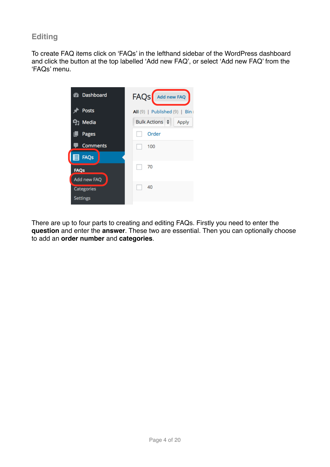# <span id="page-3-0"></span>**Editing**

To create FAQ items click on 'FAQs' in the lefthand sidebar of the WordPress dashboard and click the button at the top labelled 'Add new FAQ', or select 'Add new FAQ' from the 'FAQs' menu.



There are up to four parts to creating and editing FAQs. Firstly you need to enter the **question** and enter the **answer**. These two are essential. Then you can optionally choose to add an **order number** and **categories**.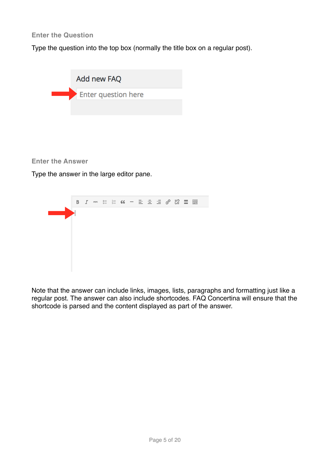### **Enter the Question**

Type the question into the top box (normally the title box on a regular post).



### **Enter the Answer**

Type the answer in the large editor pane.



Note that the answer can include links, images, lists, paragraphs and formatting just like a regular post. The answer can also include shortcodes. FAQ Concertina will ensure that the shortcode is parsed and the content displayed as part of the answer.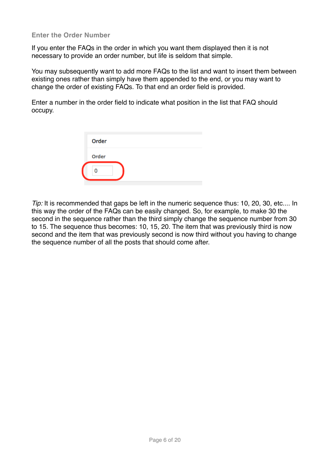#### **Enter the Order Number**

If you enter the FAQs in the order in which you want them displayed then it is not necessary to provide an order number, but life is seldom that simple.

You may subsequently want to add more FAQs to the list and want to insert them between existing ones rather than simply have them appended to the end, or you may want to change the order of existing FAQs. To that end an order field is provided.

Enter a number in the order field to indicate what position in the list that FAQ should occupy.

| Order |
|-------|
| Order |
|       |

*Tip:* It is recommended that gaps be left in the numeric sequence thus: 10, 20, 30, etc.... In this way the order of the FAQs can be easily changed. So, for example, to make 30 the second in the sequence rather than the third simply change the sequence number from 30 to 15. The sequence thus becomes: 10, 15, 20. The item that was previously third is now second and the item that was previously second is now third without you having to change the sequence number of all the posts that should come after.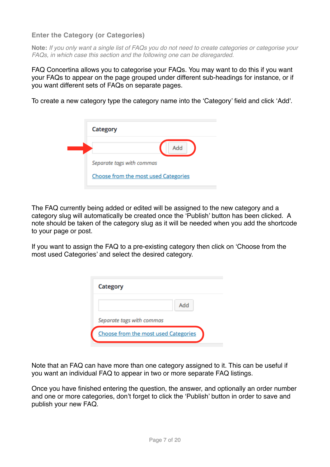# **Enter the Category (or Categories)**

**Note:** *If you only want a single list of FAQs you do not need to create categories or categorise your FAQs, in which case this section and the following one can be disregarded.*

FAQ Concertina allows you to categorise your FAQs. You may want to do this if you want your FAQs to appear on the page grouped under different sub-headings for instance, or if you want different sets of FAQs on separate pages.

To create a new category type the category name into the 'Category' field and click 'Add'.

| Category                             |
|--------------------------------------|
| Add                                  |
| Separate tags with commas            |
| Choose from the most used Categories |

The FAQ currently being added or edited will be assigned to the new category and a category slug will automatically be created once the 'Publish' button has been clicked. A note should be taken of the category slug as it will be needed when you add the shortcode to your page or post.

If you want to assign the FAQ to a pre-existing category then click on 'Choose from the most used Categories' and select the desired category.

| <b>Category</b>                      |     |
|--------------------------------------|-----|
|                                      | Add |
| Separate tags with commas            |     |
| Choose from the most used Categories |     |

Note that an FAQ can have more than one category assigned to it. This can be useful if you want an individual FAQ to appear in two or more separate FAQ listings.

Once you have finished entering the question, the answer, and optionally an order number and one or more categories, don't forget to click the 'Publish' button in order to save and publish your new FAQ.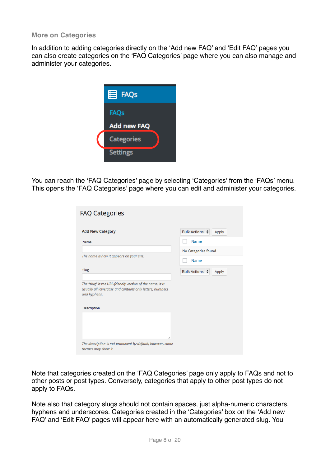#### **More on Categories**

In addition to adding categories directly on the 'Add new FAQ' and 'Edit FAQ' pages you can also create categories on the 'FAQ Categories' page where you can also manage and administer your categories.



You can reach the 'FAQ Categories' page by selecting 'Categories' from the 'FAQs' menu. This opens the 'FAQ Categories' page where you can edit and administer your categories.

| <b>FAQ Categories</b>                                                                                                                  |                              |
|----------------------------------------------------------------------------------------------------------------------------------------|------------------------------|
| <b>Add New Category</b>                                                                                                                | Bulk Actions $\div$<br>Apply |
| Name                                                                                                                                   | Name                         |
|                                                                                                                                        | No Categories found          |
| The name is how it appears on your site.                                                                                               | Name                         |
| <b>Slug</b>                                                                                                                            | Bulk Actions $\div$<br>Apply |
| The "slug" is the URL-friendly version of the name. It is<br>usually all lowercase and contains only letters, numbers,<br>and hyphens. |                              |
| Description                                                                                                                            |                              |
| 1,                                                                                                                                     |                              |
| The description is not prominent by default; however, some<br>themes may show it.                                                      |                              |

Note that categories created on the 'FAQ Categories' page only apply to FAQs and not to other posts or post types. Conversely, categories that apply to other post types do not apply to FAQs.

Note also that category slugs should not contain spaces, just alpha-numeric characters, hyphens and underscores. Categories created in the 'Categories' box on the 'Add new FAQ' and 'Edit FAQ' pages will appear here with an automatically generated slug. You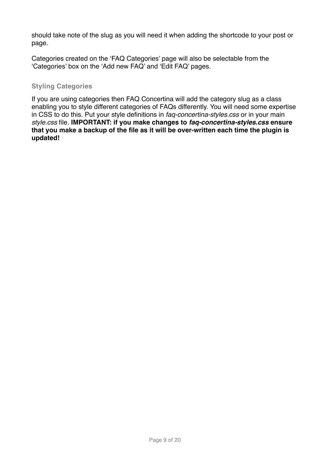should take note of the slug as you will need it when adding the shortcode to your post or page.

Categories created on the 'FAQ Categories' page will also be selectable from the 'Categories' box on the 'Add new FAQ' and 'Edit FAQ' pages.

### **Styling Categories**

If you are using categories then FAQ Concertina will add the category slug as a class enabling you to style different categories of FAQs differently. You will need some expertise in CSS to do this. Put your style definitions in *faq-concertina-styles.css* or in your main *style.css* file. **IMPORTANT: if you make changes to** *faq-concertina-styles.css* **ensure that you make a backup of the file as it will be over-written each time the plugin is updated!**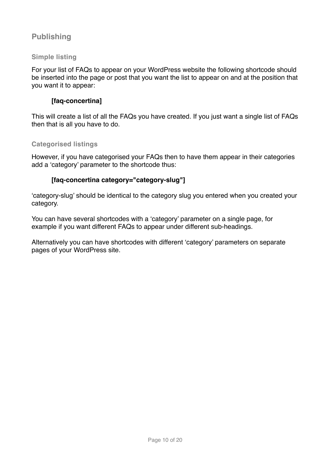# <span id="page-9-0"></span>**Publishing**

# **Simple listing**

For your list of FAQs to appear on your WordPress website the following shortcode should be inserted into the page or post that you want the list to appear on and at the position that you want it to appear:

# **[faq-concertina]**

This will create a list of all the FAQs you have created. If you just want a single list of FAQs then that is all you have to do.

### **Categorised listings**

However, if you have categorised your FAQs then to have them appear in their categories add a 'category' parameter to the shortcode thus:

# **[faq-concertina category="category-slug"]**

'category-slug' should be identical to the category slug you entered when you created your category.

You can have several shortcodes with a 'category' parameter on a single page, for example if you want different FAQs to appear under different sub-headings.

Alternatively you can have shortcodes with different 'category' parameters on separate pages of your WordPress site.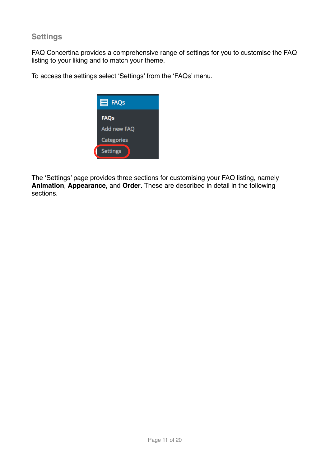# <span id="page-10-0"></span>**Settings**

FAQ Concertina provides a comprehensive range of settings for you to customise the FAQ listing to your liking and to match your theme.

To access the settings select 'Settings' from the 'FAQs' menu.



The 'Settings' page provides three sections for customising your FAQ listing, namely **Animation**, **Appearance**, and **Order**. These are described in detail in the following sections.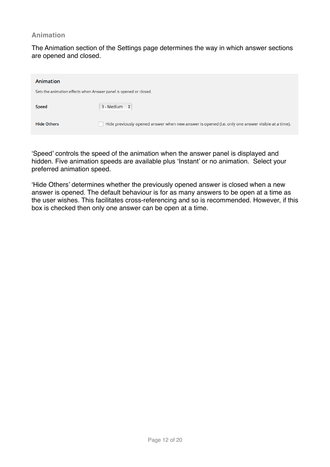#### **Animation**

The Animation section of the Settings page determines the way in which answer sections are opened and closed.

| Animation                                                         |                                                                                                   |  |
|-------------------------------------------------------------------|---------------------------------------------------------------------------------------------------|--|
| Sets the animation effects when Answer panel is opened or closed. |                                                                                                   |  |
| <b>Speed</b>                                                      | $3 - Medium \div$                                                                                 |  |
| <b>Hide Others</b>                                                | Hide previously opened answer when new answer is opened (i.e. only one answer visible at a time). |  |

'Speed' controls the speed of the animation when the answer panel is displayed and hidden. Five animation speeds are available plus 'Instant' or no animation. Select your preferred animation speed.

'Hide Others' determines whether the previously opened answer is closed when a new answer is opened. The default behaviour is for as many answers to be open at a time as the user wishes. This facilitates cross-referencing and so is recommended. However, if this box is checked then only one answer can be open at a time.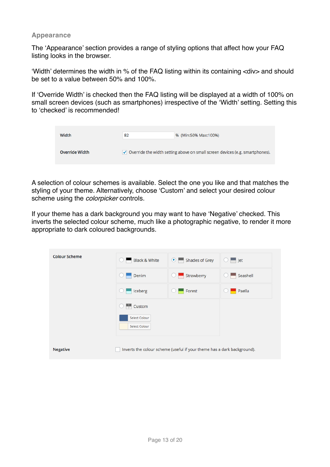#### **Appearance**

The 'Appearance' section provides a range of styling options that affect how your FAQ listing looks in the browser.

'Width' determines the width in % of the FAQ listing within its containing <div> and should be set to a value between 50% and 100%.

If 'Override Width' is checked then the FAQ listing will be displayed at a width of 100% on small screen devices (such as smartphones) irrespective of the 'Width' setting. Setting this to 'checked' is recommended!

| Width                 | 82 | % (Min:50% Max:100%)                                                                      |
|-----------------------|----|-------------------------------------------------------------------------------------------|
| <b>Override Width</b> |    | $\checkmark$ Override the width setting above on small screen devices (e.g. smartphones). |

A selection of colour schemes is available. Select the one you like and that matches the styling of your theme. Alternatively, choose 'Custom' and select your desired colour scheme using the *colorpicker* controls.

If your theme has a dark background you may want to have 'Negative' checked. This inverts the selected colour scheme, much like a photographic negative, to render it more appropriate to dark coloured backgrounds.

| <b>Colour Scheme</b> | Black & White                         | ● Shades of Grey                                                        | $\blacksquare$ Jet |
|----------------------|---------------------------------------|-------------------------------------------------------------------------|--------------------|
|                      | Denim                                 | Strawberry                                                              | Seashell           |
|                      | Iceberg                               | Forest                                                                  | Paella             |
|                      | $\frac{2}{3}$ Custom                  |                                                                         |                    |
|                      | <b>Select Colour</b><br>Select Colour |                                                                         |                    |
| <b>Negative</b>      |                                       | Inverts the colour scheme (useful if your theme has a dark background). |                    |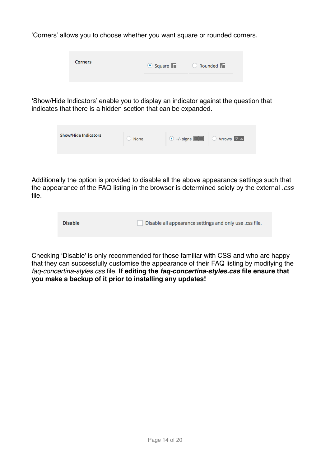'Corners' allows you to choose whether you want square or rounded corners.

| <b>Corners</b> | $\bullet$ Square | <b>C</b> Rounded |
|----------------|------------------|------------------|
|                |                  |                  |

'Show/Hide Indicators' enable you to display an indicator against the question that indicates that there is a hidden section that can be expanded.

| <b>Show/Hide Indicators</b> | None | $\bullet$ +/- signs $\boxed{\blacksquare \blacksquare}$ $\Box$ Arrows $\nabla \triangle$ |  |
|-----------------------------|------|------------------------------------------------------------------------------------------|--|
|                             |      |                                                                                          |  |

Additionally the option is provided to disable all the above appearance settings such that the appearance of the FAQ listing in the browser is determined solely by the external *.css* file.

| <b>Disable</b> | Disable all appearance settings and only use .css file. |
|----------------|---------------------------------------------------------|
|                |                                                         |

Checking 'Disable' is only recommended for those familiar with CSS and who are happy that they can successfully customise the appearance of their FAQ listing by modifying the *faq-concertina-styles.css* file. **If editing the** *faq-concertina-styles.css* **file ensure that you make a backup of it prior to installing any updates!**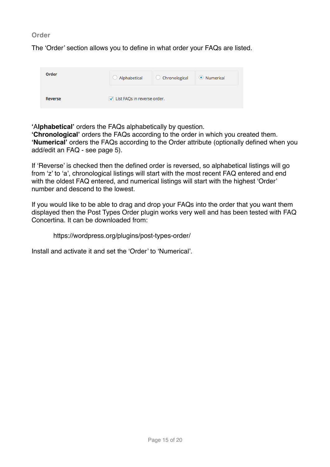**Order**

The 'Order' section allows you to define in what order your FAQs are listed.

| Order          | Alphabetical                  | C Chronological | ● Numerical |
|----------------|-------------------------------|-----------------|-------------|
| <b>Reverse</b> | U List FAQs in reverse order. |                 |             |

**'**A**lphabetical'** orders the FAQs alphabetically by question.

**'Chronological'** orders the FAQs according to the order in which you created them. **'Numerical'** orders the FAQs according to the Order attribute (optionally defined when you add/edit an FAQ - see page 5).

If 'Reverse' is checked then the defined order is reversed, so alphabetical listings will go from 'z' to 'a', chronological listings will start with the most recent FAQ entered and end with the oldest FAQ entered, and numerical listings will start with the highest 'Order' number and descend to the lowest.

If you would like to be able to drag and drop your FAQs into the order that you want them displayed then the Post Types Order plugin works very well and has been tested with FAQ Concertina. It can be downloaded from:

https://wordpress.org/plugins/post-types-order/

Install and activate it and set the 'Order' to 'Numerical'.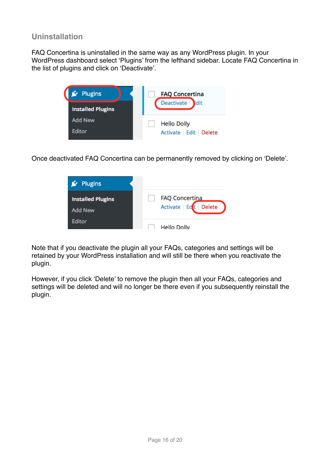# <span id="page-15-0"></span>**Uninstallation**

FAQ Concertina is uninstalled in the same way as any WordPress plugin. In your WordPress dashboard select 'Plugins' from the lefthand sidebar. Locate FAQ Concertina in the list of plugins and click on 'Deactivate'.



Once deactivated FAQ Concertina can be permanently removed by clicking on 'Delete'.



Note that if you deactivate the plugin all your FAQs, categories and settings will be retained by your WordPress installation and will still be there when you reactivate the plugin.

However, if you click 'Delete' to remove the plugin then all your FAQs, categories and settings will be deleted and will no longer be there even if you subsequently reinstall the plugin.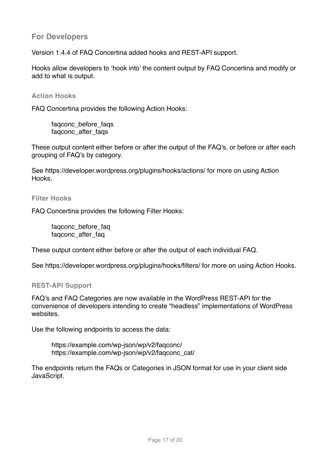# <span id="page-16-0"></span>**For Developers**

Version 1.4.4 of FAQ Concertina added hooks and REST-API support.

Hooks allow developers to 'hook into' the content output by FAQ Concertina and modify or add to what is output.

#### **Action Hooks**

FAQ Concertina provides the following Action Hooks:

faqconc\_before\_faqs faqconc\_after\_faqs

These output content either before or after the output of the FAQ's, or before or after each grouping of FAQ's by category.

See https://developer.wordpress.org/plugins/hooks/actions/ for more on using Action Hooks.

#### **Filter Hooks**

FAQ Concertina provides the following Filter Hooks:

fagconc\_before\_fag faqconc\_after\_faq

These output content either before or after the output of each individual FAQ.

See https://developer.wordpress.org/plugins/hooks/filters/ for more on using Action Hooks.

### **REST-API Support**

FAQ's and FAQ Categories are now available in the WordPress REST-API for the convenience of developers intending to create "headless" implementations of WordPress websites.

Use the following endpoints to access the data:

https://example.com/wp-json/wp/v2/faqconc/ https://example.com/wp-json/wp/v2/faqconc\_cat/

The endpoints return the FAQs or Categories in JSON format for use in your client side JavaScript.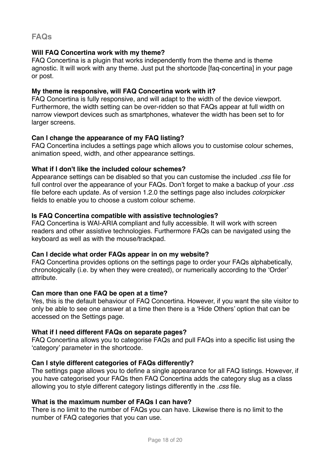# <span id="page-17-0"></span>**FAQs**

### **Will FAQ Concertina work with my theme?**

FAQ Concertina is a plugin that works independently from the theme and is theme agnostic. It will work with any theme. Just put the shortcode [faq-concertina] in your page or post.

### **My theme is responsive, will FAQ Concertina work with it?**

FAQ Concertina is fully responsive, and will adapt to the width of the device viewport. Furthermore, the width setting can be over-ridden so that FAQs appear at full width on narrow viewport devices such as smartphones, whatever the width has been set to for larger screens.

# **Can I change the appearance of my FAQ listing?**

FAQ Concertina includes a settings page which allows you to customise colour schemes, animation speed, width, and other appearance settings.

### **What if I don't like the included colour schemes?**

Appearance settings can be disabled so that you can customise the included *.css* file for full control over the appearance of your FAQs. Don't forget to make a backup of your *.css* file before each update. As of version 1.2.0 the settings page also includes *colorpicker* fields to enable you to choose a custom colour scheme.

# **Is FAQ Concertina compatible with assistive technologies?**

FAQ Concertina is WAI-ARIA compliant and fully accessible. It will work with screen readers and other assistive technologies. Furthermore FAQs can be navigated using the keyboard as well as with the mouse/trackpad.

### **Can I decide what order FAQs appear in on my website?**

FAQ Concertina provides options on the settings page to order your FAQs alphabetically, chronologically (i.e. by when they were created), or numerically according to the 'Order' attribute.

### **Can more than one FAQ be open at a time?**

Yes, this is the default behaviour of FAQ Concertina. However, if you want the site visitor to only be able to see one answer at a time then there is a 'Hide Others' option that can be accessed on the Settings page.

### **What if I need different FAQs on separate pages?**

FAQ Concertina allows you to categorise FAQs and pull FAQs into a specific list using the 'category' parameter in the shortcode.

### **Can I style different categories of FAQs differently?**

The settings page allows you to define a single appearance for all FAQ listings. However, if you have categorised your FAQs then FAQ Concertina adds the category slug as a class allowing you to style different category listings differently in the *.css* file.

### **What is the maximum number of FAQs I can have?**

There is no limit to the number of FAQs you can have. Likewise there is no limit to the number of FAQ categories that you can use.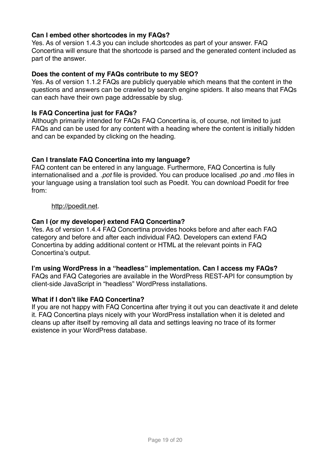# **Can I embed other shortcodes in my FAQs?**

Yes. As of version 1.4.3 you can include shortcodes as part of your answer. FAQ Concertina will ensure that the shortcode is parsed and the generated content included as part of the answer.

# **Does the content of my FAQs contribute to my SEO?**

Yes. As of version 1.1.2 FAQs are publicly queryable which means that the content in the questions and answers can be crawled by search engine spiders. It also means that FAQs can each have their own page addressable by slug.

# **Is FAQ Concertina just for FAQs?**

Although primarily intended for FAQs FAQ Concertina is, of course, not limited to just FAQs and can be used for any content with a heading where the content is initially hidden and can be expanded by clicking on the heading.

# **Can I translate FAQ Concertina into my language?**

FAQ content can be entered in any language. Furthermore, FAQ Concertina is fully internationalised and a *.pot* file is provided. You can produce localised *.po* and *.mo* files in your language using a translation tool such as Poedit. You can download Poedit for free from:

### <http://poedit.net>.

# **Can I (or my developer) extend FAQ Concertina?**

Yes. As of version 1.4.4 FAQ Concertina provides hooks before and after each FAQ category and before and after each individual FAQ. Developers can extend FAQ Concertina by adding additional content or HTML at the relevant points in FAQ Concertina's output.

### **I'm using WordPress in a "headless" implementation. Can I access my FAQs?**

FAQs and FAQ Categories are available in the WordPress REST-API for consumption by client-side JavaScript in "headless" WordPress installations.

### **What if I don't like FAQ Concertina?**

If you are not happy with FAQ Concertina after trying it out you can deactivate it and delete it. FAQ Concertina plays nicely with your WordPress installation when it is deleted and cleans up after itself by removing all data and settings leaving no trace of its former existence in your WordPress database.